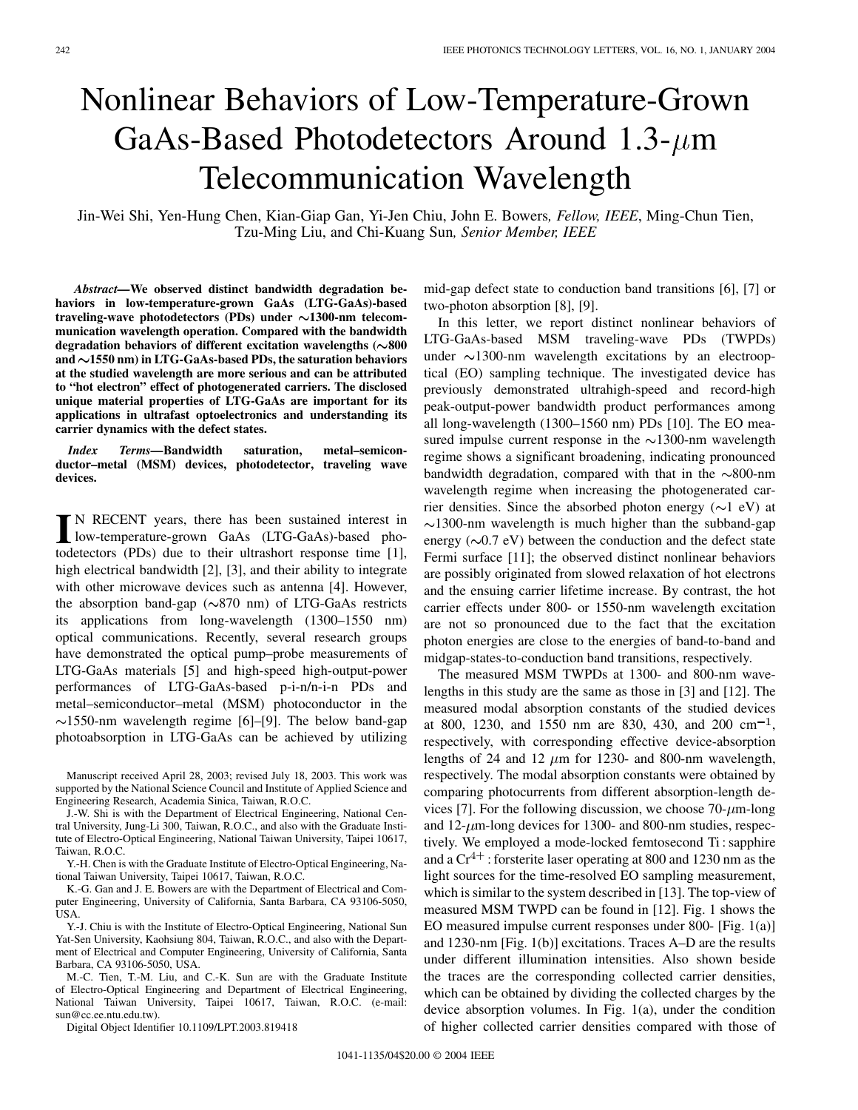## Nonlinear Behaviors of Low-Temperature-Grown GaAs-Based Photodetectors Around  $1.3$ - $\mu$ m Telecommunication Wavelength

Jin-Wei Shi, Yen-Hung Chen, Kian-Giap Gan, Yi-Jen Chiu, John E. Bowers*, Fellow, IEEE*, Ming-Chun Tien, Tzu-Ming Liu, and Chi-Kuang Sun*, Senior Member, IEEE*

*Abstract—***We observed distinct bandwidth degradation behaviors in low-temperature-grown GaAs (LTG-GaAs)-based traveling-wave photodetectors (PDs) under 1300-nm telecommunication wavelength operation. Compared with the bandwidth** degradation behaviors of different excitation wavelengths  $(\sim 800$ **and 1550 nm) in LTG-GaAs-based PDs, the saturation behaviors at the studied wavelength are more serious and can be attributed to "hot electron" effect of photogenerated carriers. The disclosed unique material properties of LTG-GaAs are important for its applications in ultrafast optoelectronics and understanding its carrier dynamics with the defect states.**

*Index Terms—***Bandwidth saturation, metal–semiconductor–metal (MSM) devices, photodetector, traveling wave devices.**

**I** N RECENT years, there has been sustained interest in<br>low-temperature-grown GaAs (LTG-GaAs)-based pho-<br>technology (PDs) due to their ultrachert generate time [1] todetectors (PDs) due to their ultrashort response time [[1\]](#page-2-0), high electrical bandwidth [[2\]](#page-2-0), [[3\]](#page-2-0), and their ability to integrate with other microwave devices such as antenna [\[4](#page-2-0)]. However, the absorption band-gap  $(\sim 870 \text{ nm})$  of LTG-GaAs restricts its applications from long-wavelength (1300–1550 nm) optical communications. Recently, several research groups have demonstrated the optical pump–probe measurements of LTG-GaAs materials [\[5](#page-2-0)] and high-speed high-output-power performances of LTG-GaAs-based p-i-n/n-i-n PDs and metal–semiconductor–metal (MSM) photoconductor in the  $\sim$ 1550-nm wavelength regime [\[6](#page-2-0)]–[[9\]](#page-2-0). The below band-gap photoabsorption in LTG-GaAs can be achieved by utilizing

J.-W. Shi is with the Department of Electrical Engineering, National Central University, Jung-Li 300, Taiwan, R.O.C., and also with the Graduate Institute of Electro-Optical Engineering, National Taiwan University, Taipei 10617, Taiwan, R.O.C.

Y.-H. Chen is with the Graduate Institute of Electro-Optical Engineering, National Taiwan University, Taipei 10617, Taiwan, R.O.C.

K.-G. Gan and J. E. Bowers are with the Department of Electrical and Computer Engineering, University of California, Santa Barbara, CA 93106-5050, USA.

Y.-J. Chiu is with the Institute of Electro-Optical Engineering, National Sun Yat-Sen University, Kaohsiung 804, Taiwan, R.O.C., and also with the Department of Electrical and Computer Engineering, University of California, Santa Barbara, CA 93106-5050, USA.

M.-C. Tien, T.-M. Liu, and C.-K. Sun are with the Graduate Institute of Electro-Optical Engineering and Department of Electrical Engineering, National Taiwan University, Taipei 10617, Taiwan, R.O.C. (e-mail: sun@cc.ee.ntu.edu.tw).

Digital Object Identifier 10.1109/LPT.2003.819418

mid-gap defect state to conduction band transitions [[6\]](#page-2-0), [[7\]](#page-2-0) or two-photon absorption [\[8](#page-2-0)], [\[9](#page-2-0)].

In this letter, we report distinct nonlinear behaviors of LTG-GaAs-based MSM traveling-wave PDs (TWPDs) under  $\sim$ 1300-nm wavelength excitations by an electrooptical (EO) sampling technique. The investigated device has previously demonstrated ultrahigh-speed and record-high peak-output-power bandwidth product performances among all long-wavelength (1300–1560 nm) PDs [\[10](#page-2-0)]. The EO measured impulse current response in the  $\sim$ 1300-nm wavelength regime shows a significant broadening, indicating pronounced bandwidth degradation, compared with that in the  $\sim 800$ -nm wavelength regime when increasing the photogenerated carrier densities. Since the absorbed photon energy  $(\sim 1 \text{ eV})$  at  $\sim$ 1300-nm wavelength is much higher than the subband-gap energy  $({\sim}0.7 \text{ eV})$  between the conduction and the defect state Fermi surface [[11\]](#page-2-0); the observed distinct nonlinear behaviors are possibly originated from slowed relaxation of hot electrons and the ensuing carrier lifetime increase. By contrast, the hot carrier effects under 800- or 1550-nm wavelength excitation are not so pronounced due to the fact that the excitation photon energies are close to the energies of band-to-band and midgap-states-to-conduction band transitions, respectively.

The measured MSM TWPDs at 1300- and 800-nm wavelengths in this study are the same as those in [\[3](#page-2-0)] and [[12\]](#page-2-0). The measured modal absorption constants of the studied devices at 800, 1230, and 1550 nm are 830, 430, and 200 cm<sup>-1</sup>, respectively, with corresponding effective device-absorption lengths of 24 and 12  $\mu$ m for 1230- and 800-nm wavelength, respectively. The modal absorption constants were obtained by comparing photocurrents from different absorption-length de-vices [[7\]](#page-2-0). For the following discussion, we choose  $70-\mu m$ -long and  $12-\mu$ m-long devices for 1300- and 800-nm studies, respectively. We employed a mode-locked femtosecond Ti : sapphire and a  $Cr^{4+}$ : forsterite laser operating at 800 and 1230 nm as the light sources for the time-resolved EO sampling measurement, which is similar to the system described in [\[13](#page-2-0)]. The top-view of measured MSM TWPD can be found in [\[12](#page-2-0)]. Fig. 1 shows the EO measured impulse current responses under 800- [Fig. 1(a)] and 1230-nm [Fig. 1(b)] excitations. Traces A–D are the results under different illumination intensities. Also shown beside the traces are the corresponding collected carrier densities, which can be obtained by dividing the collected charges by the device absorption volumes. In Fig. 1(a), under the condition of higher collected carrier densities compared with those of

Manuscript received April 28, 2003; revised July 18, 2003. This work was supported by the National Science Council and Institute of Applied Science and Engineering Research, Academia Sinica, Taiwan, R.O.C.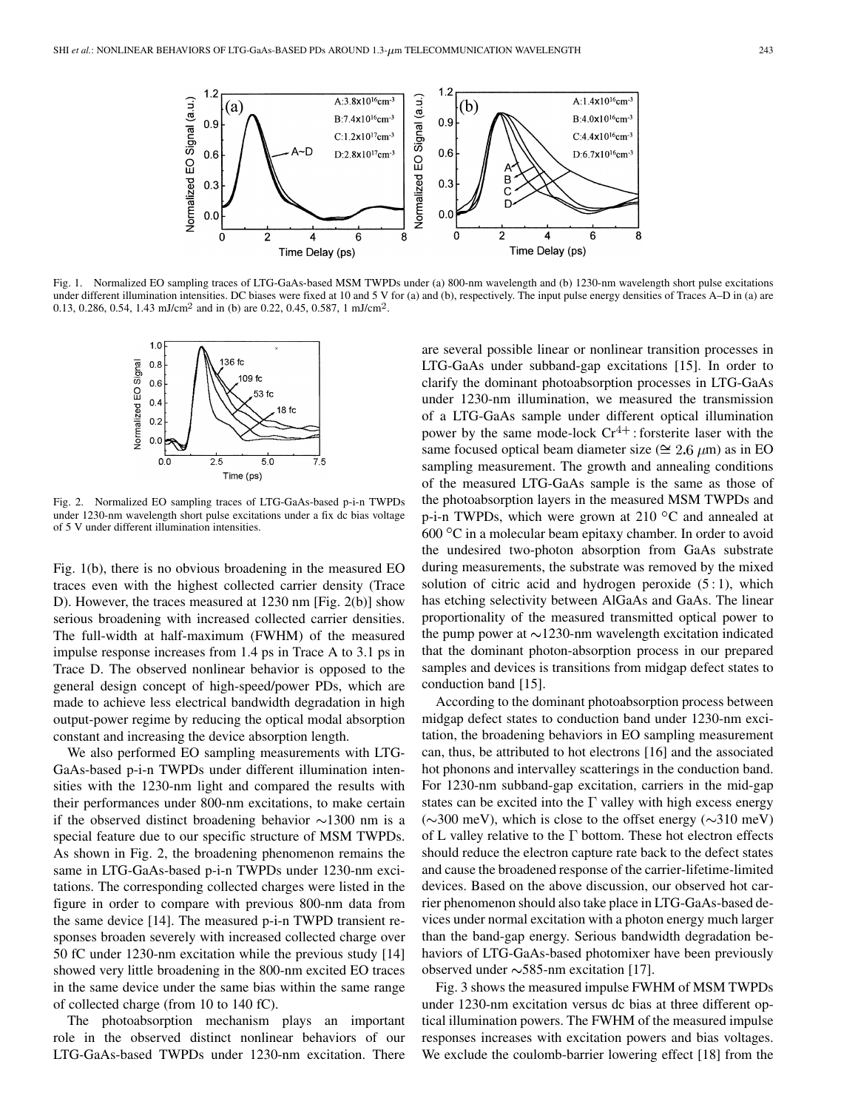

Fig. 1. Normalized EO sampling traces of LTG-GaAs-based MSM TWPDs under (a) 800-nm wavelength and (b) 1230-nm wavelength short pulse excitations under different illumination intensities. DC biases were fixed at 10 and 5 V for (a) and (b), respectively. The input pulse energy densities of Traces A–D in (a) are 0.13, 0.286, 0.54, 1.43 mJ/cm<sup>2</sup> and in (b) are 0.22, 0.45, 0.587, 1 mJ/cm<sup>2</sup>.



Fig. 2. Normalized EO sampling traces of LTG-GaAs-based p-i-n TWPDs under 1230-nm wavelength short pulse excitations under a fix dc bias voltage of 5 V under different illumination intensities.

Fig. 1(b), there is no obvious broadening in the measured EO traces even with the highest collected carrier density (Trace D). However, the traces measured at 1230 nm [Fig. 2(b)] show serious broadening with increased collected carrier densities. The full-width at half-maximum (FWHM) of the measured impulse response increases from 1.4 ps in Trace A to 3.1 ps in Trace D. The observed nonlinear behavior is opposed to the general design concept of high-speed/power PDs, which are made to achieve less electrical bandwidth degradation in high output-power regime by reducing the optical modal absorption constant and increasing the device absorption length.

We also performed EO sampling measurements with LTG-GaAs-based p-i-n TWPDs under different illumination intensities with the 1230-nm light and compared the results with their performances under 800-nm excitations, to make certain if the observed distinct broadening behavior  $\sim$ 1300 nm is a special feature due to our specific structure of MSM TWPDs. As shown in Fig. 2, the broadening phenomenon remains the same in LTG-GaAs-based p-i-n TWPDs under 1230-nm excitations. The corresponding collected charges were listed in the figure in order to compare with previous 800-nm data from the same device [[14\]](#page-2-0). The measured p-i-n TWPD transient responses broaden severely with increased collected charge over 50 fC under 1230-nm excitation while the previous study [[14\]](#page-2-0) showed very little broadening in the 800-nm excited EO traces in the same device under the same bias within the same range of collected charge (from 10 to 140 fC).

The photoabsorption mechanism plays an important role in the observed distinct nonlinear behaviors of our LTG-GaAs-based TWPDs under 1230-nm excitation. There are several possible linear or nonlinear transition processes in LTG-GaAs under subband-gap excitations [[15\]](#page-2-0). In order to clarify the dominant photoabsorption processes in LTG-GaAs under 1230-nm illumination, we measured the transmission of a LTG-GaAs sample under different optical illumination power by the same mode-lock  $Cr^{4+}$ : forsterite laser with the same focused optical beam diameter size ( $\approx 2.6 \ \mu m$ ) as in EO sampling measurement. The growth and annealing conditions of the measured LTG-GaAs sample is the same as those of the photoabsorption layers in the measured MSM TWPDs and p-i-n TWPDs, which were grown at 210  $\mathrm{^{\circ}C}$  and annealed at  $600\degree$ C in a molecular beam epitaxy chamber. In order to avoid the undesired two-photon absorption from GaAs substrate during measurements, the substrate was removed by the mixed solution of citric acid and hydrogen peroxide  $(5:1)$ , which has etching selectivity between AlGaAs and GaAs. The linear proportionality of the measured transmitted optical power to the pump power at  $\sim$ 1230-nm wavelength excitation indicated that the dominant photon-absorption process in our prepared samples and devices is transitions from midgap defect states to conduction band [[15\]](#page-2-0).

According to the dominant photoabsorption process between midgap defect states to conduction band under 1230-nm excitation, the broadening behaviors in EO sampling measurement can, thus, be attributed to hot electrons [\[16](#page-2-0)] and the associated hot phonons and intervalley scatterings in the conduction band. For 1230-nm subband-gap excitation, carriers in the mid-gap states can be excited into the  $\Gamma$  valley with high excess energy  $(\sim 300 \text{ meV})$ , which is close to the offset energy  $(\sim 310 \text{ meV})$ of L valley relative to the  $\Gamma$  bottom. These hot electron effects should reduce the electron capture rate back to the defect states and cause the broadened response of the carrier-lifetime-limited devices. Based on the above discussion, our observed hot carrier phenomenon should also take place in LTG-GaAs-based devices under normal excitation with a photon energy much larger than the band-gap energy. Serious bandwidth degradation behaviors of LTG-GaAs-based photomixer have been previously observed under  $\sim$  585-nm excitation [[17\]](#page-2-0).

Fig. 3 shows the measured impulse FWHM of MSM TWPDs under 1230-nm excitation versus dc bias at three different optical illumination powers. The FWHM of the measured impulse responses increases with excitation powers and bias voltages. We exclude the coulomb-barrier lowering effect [\[18](#page-2-0)] from the